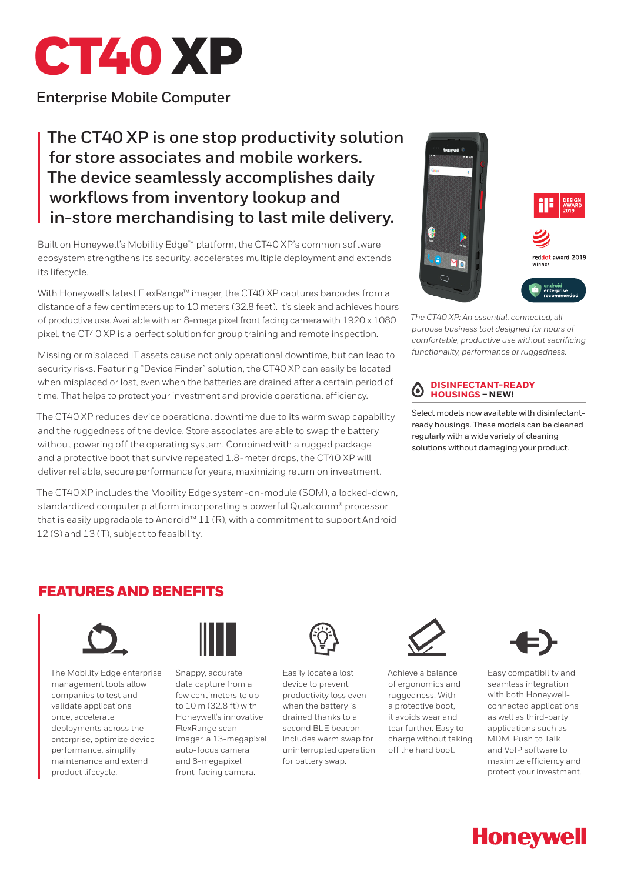

**Enterprise Mobile Computer**

# **The CT40 XP is one stop productivity solution for store associates and mobile workers. The device seamlessly accomplishes daily workflows from inventory lookup and in-store merchandising to last mile delivery.**

Built on Honeywell's Mobility Edge™ platform, the CT40 XP's common software ecosystem strengthens its security, accelerates multiple deployment and extends its lifecycle.

With Honeywell's latest FlexRange™ imager, the CT40 XP captures barcodes from a distance of a few centimeters up to 10 meters (32.8 feet). It's sleek and achieves hours of productive use. Available with an 8-mega pixel front facing camera with 1920 x 1080 pixel, the CT40 XP is a perfect solution for group training and remote inspection.

Missing or misplaced IT assets cause not only operational downtime, but can lead to security risks. Featuring "Device Finder" solution, the CT40 XP can easily be located when misplaced or lost, even when the batteries are drained after a certain period of time. That helps to protect your investment and provide operational efficiency.

The CT40 XP reduces device operational downtime due to its warm swap capability and the ruggedness of the device. Store associates are able to swap the battery without powering off the operating system. Combined with a rugged package and a protective boot that survive repeated 1.8-meter drops, the CT40 XP will deliver reliable, secure performance for years, maximizing return on investment.

The CT40 XP includes the Mobility Edge system-on-module (SOM), a locked-down, standardized computer platform incorporating a powerful Qualcomm® processor that is easily upgradable to Android™ 11 (R), with a commitment to support Android 12 (S) and 13 (T), subject to feasibility.



*The CT40 XP: An essential, connected, allpurpose business tool designed for hours of comfortable, productive use without sacrificing functionality, performance or ruggedness.*

#### **DISINFECTANT-READY**   $\bf{\omega}$ **HOUSINGS – NEW!**

Select models now available with disinfectantready housings. These models can be cleaned regularly with a wide variety of cleaning solutions without damaging your product.

### FEATURES AND BENEFITS



The Mobility Edge enterprise management tools allow companies to test and validate applications once, accelerate deployments across the enterprise, optimize device performance, simplify maintenance and extend product lifecycle.



Snappy, accurate data capture from a few centimeters to up to 10 m (32.8 ft) with Honeywell's innovative FlexRange scan imager, a 13-megapixel, auto-focus camera and 8-megapixel front-facing camera.



Easily locate a lost device to prevent productivity loss even when the battery is drained thanks to a second BLE beacon. Includes warm swap for uninterrupted operation for battery swap.



Achieve a balance of ergonomics and ruggedness. With a protective boot, it avoids wear and tear further. Easy to charge without taking off the hard boot.



Easy compatibility and seamless integration with both Honeywellconnected applications as well as third-party applications such as MDM, Push to Talk and VoIP software to maximize efficiency and protect your investment.